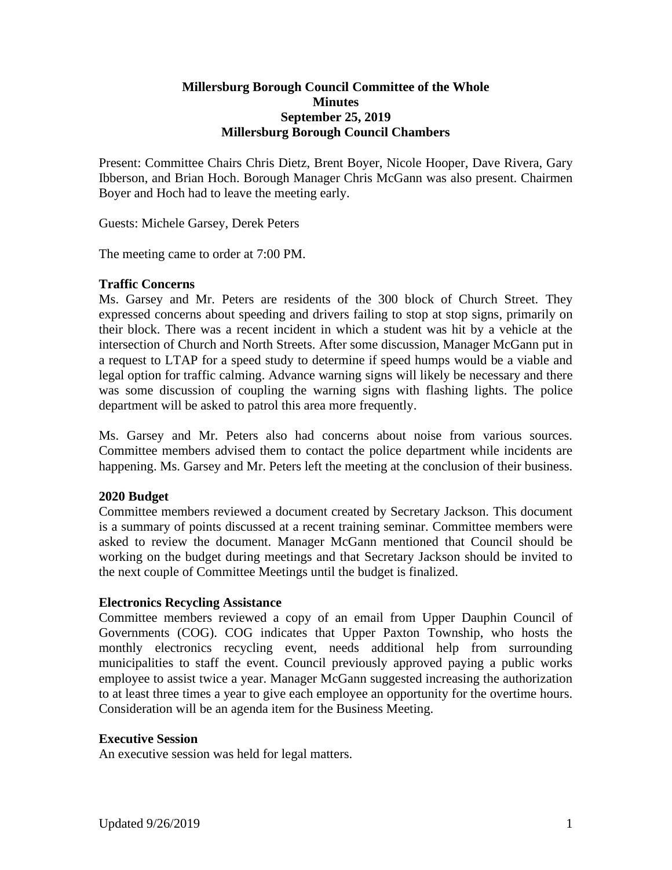# **Millersburg Borough Council Committee of the Whole Minutes September 25, 2019 Millersburg Borough Council Chambers**

Present: Committee Chairs Chris Dietz, Brent Boyer, Nicole Hooper, Dave Rivera, Gary Ibberson, and Brian Hoch. Borough Manager Chris McGann was also present. Chairmen Boyer and Hoch had to leave the meeting early.

Guests: Michele Garsey, Derek Peters

The meeting came to order at 7:00 PM.

# **Traffic Concerns**

Ms. Garsey and Mr. Peters are residents of the 300 block of Church Street. They expressed concerns about speeding and drivers failing to stop at stop signs, primarily on their block. There was a recent incident in which a student was hit by a vehicle at the intersection of Church and North Streets. After some discussion, Manager McGann put in a request to LTAP for a speed study to determine if speed humps would be a viable and legal option for traffic calming. Advance warning signs will likely be necessary and there was some discussion of coupling the warning signs with flashing lights. The police department will be asked to patrol this area more frequently.

Ms. Garsey and Mr. Peters also had concerns about noise from various sources. Committee members advised them to contact the police department while incidents are happening. Ms. Garsey and Mr. Peters left the meeting at the conclusion of their business.

# **2020 Budget**

Committee members reviewed a document created by Secretary Jackson. This document is a summary of points discussed at a recent training seminar. Committee members were asked to review the document. Manager McGann mentioned that Council should be working on the budget during meetings and that Secretary Jackson should be invited to the next couple of Committee Meetings until the budget is finalized.

# **Electronics Recycling Assistance**

Committee members reviewed a copy of an email from Upper Dauphin Council of Governments (COG). COG indicates that Upper Paxton Township, who hosts the monthly electronics recycling event, needs additional help from surrounding municipalities to staff the event. Council previously approved paying a public works employee to assist twice a year. Manager McGann suggested increasing the authorization to at least three times a year to give each employee an opportunity for the overtime hours. Consideration will be an agenda item for the Business Meeting.

# **Executive Session**

An executive session was held for legal matters.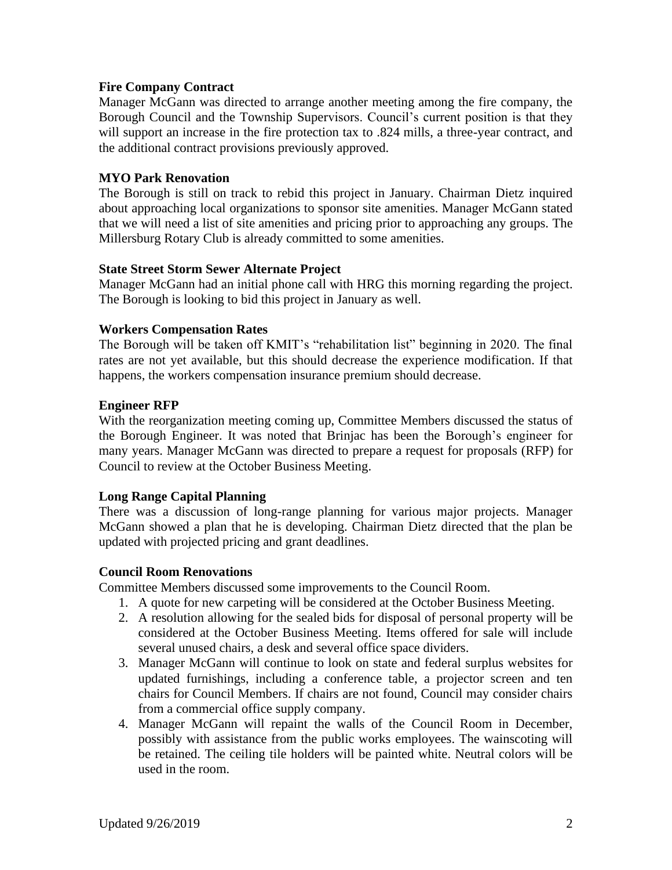# **Fire Company Contract**

Manager McGann was directed to arrange another meeting among the fire company, the Borough Council and the Township Supervisors. Council's current position is that they will support an increase in the fire protection tax to .824 mills, a three-year contract, and the additional contract provisions previously approved.

# **MYO Park Renovation**

The Borough is still on track to rebid this project in January. Chairman Dietz inquired about approaching local organizations to sponsor site amenities. Manager McGann stated that we will need a list of site amenities and pricing prior to approaching any groups. The Millersburg Rotary Club is already committed to some amenities.

# **State Street Storm Sewer Alternate Project**

Manager McGann had an initial phone call with HRG this morning regarding the project. The Borough is looking to bid this project in January as well.

### **Workers Compensation Rates**

The Borough will be taken off KMIT's "rehabilitation list" beginning in 2020. The final rates are not yet available, but this should decrease the experience modification. If that happens, the workers compensation insurance premium should decrease.

### **Engineer RFP**

With the reorganization meeting coming up, Committee Members discussed the status of the Borough Engineer. It was noted that Brinjac has been the Borough's engineer for many years. Manager McGann was directed to prepare a request for proposals (RFP) for Council to review at the October Business Meeting.

# **Long Range Capital Planning**

There was a discussion of long-range planning for various major projects. Manager McGann showed a plan that he is developing. Chairman Dietz directed that the plan be updated with projected pricing and grant deadlines.

# **Council Room Renovations**

Committee Members discussed some improvements to the Council Room.

- 1. A quote for new carpeting will be considered at the October Business Meeting.
- 2. A resolution allowing for the sealed bids for disposal of personal property will be considered at the October Business Meeting. Items offered for sale will include several unused chairs, a desk and several office space dividers.
- 3. Manager McGann will continue to look on state and federal surplus websites for updated furnishings, including a conference table, a projector screen and ten chairs for Council Members. If chairs are not found, Council may consider chairs from a commercial office supply company.
- 4. Manager McGann will repaint the walls of the Council Room in December, possibly with assistance from the public works employees. The wainscoting will be retained. The ceiling tile holders will be painted white. Neutral colors will be used in the room.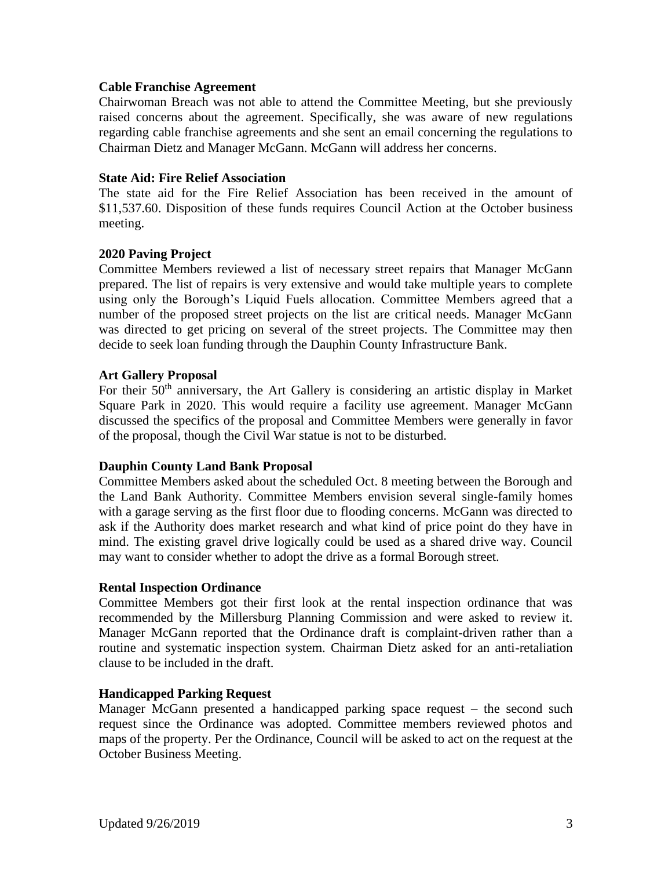# **Cable Franchise Agreement**

Chairwoman Breach was not able to attend the Committee Meeting, but she previously raised concerns about the agreement. Specifically, she was aware of new regulations regarding cable franchise agreements and she sent an email concerning the regulations to Chairman Dietz and Manager McGann. McGann will address her concerns.

# **State Aid: Fire Relief Association**

The state aid for the Fire Relief Association has been received in the amount of \$11,537.60. Disposition of these funds requires Council Action at the October business meeting.

# **2020 Paving Project**

Committee Members reviewed a list of necessary street repairs that Manager McGann prepared. The list of repairs is very extensive and would take multiple years to complete using only the Borough's Liquid Fuels allocation. Committee Members agreed that a number of the proposed street projects on the list are critical needs. Manager McGann was directed to get pricing on several of the street projects. The Committee may then decide to seek loan funding through the Dauphin County Infrastructure Bank.

# **Art Gallery Proposal**

For their 50<sup>th</sup> anniversary, the Art Gallery is considering an artistic display in Market Square Park in 2020. This would require a facility use agreement. Manager McGann discussed the specifics of the proposal and Committee Members were generally in favor of the proposal, though the Civil War statue is not to be disturbed.

# **Dauphin County Land Bank Proposal**

Committee Members asked about the scheduled Oct. 8 meeting between the Borough and the Land Bank Authority. Committee Members envision several single-family homes with a garage serving as the first floor due to flooding concerns. McGann was directed to ask if the Authority does market research and what kind of price point do they have in mind. The existing gravel drive logically could be used as a shared drive way. Council may want to consider whether to adopt the drive as a formal Borough street.

# **Rental Inspection Ordinance**

Committee Members got their first look at the rental inspection ordinance that was recommended by the Millersburg Planning Commission and were asked to review it. Manager McGann reported that the Ordinance draft is complaint-driven rather than a routine and systematic inspection system. Chairman Dietz asked for an anti-retaliation clause to be included in the draft.

# **Handicapped Parking Request**

Manager McGann presented a handicapped parking space request – the second such request since the Ordinance was adopted. Committee members reviewed photos and maps of the property. Per the Ordinance, Council will be asked to act on the request at the October Business Meeting.